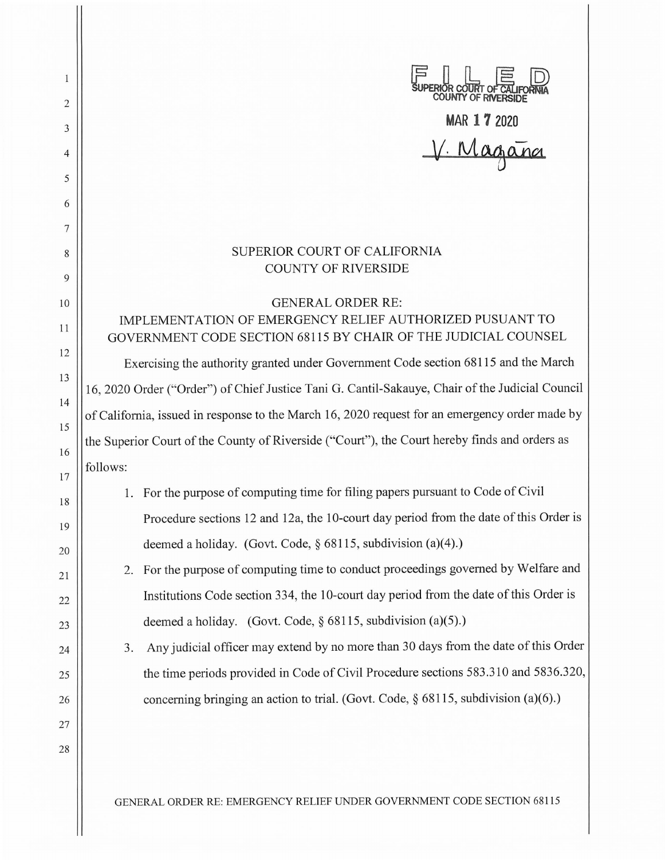| 1        |                                                                                                                                                                                                 | JPERIOR COURT OF CA<br>COUNTY OF RIVERS                                                                                    |
|----------|-------------------------------------------------------------------------------------------------------------------------------------------------------------------------------------------------|----------------------------------------------------------------------------------------------------------------------------|
| 2        |                                                                                                                                                                                                 | MAR 17 2020                                                                                                                |
| 3        |                                                                                                                                                                                                 | V. Magana                                                                                                                  |
| 4<br>5   |                                                                                                                                                                                                 |                                                                                                                            |
| 6        |                                                                                                                                                                                                 |                                                                                                                            |
| 7        |                                                                                                                                                                                                 |                                                                                                                            |
| 8        |                                                                                                                                                                                                 | SUPERIOR COURT OF CALIFORNIA                                                                                               |
| 9        |                                                                                                                                                                                                 | <b>COUNTY OF RIVERSIDE</b>                                                                                                 |
| 10       |                                                                                                                                                                                                 | <b>GENERAL ORDER RE:</b>                                                                                                   |
| 11       |                                                                                                                                                                                                 | IMPLEMENTATION OF EMERGENCY RELIEF AUTHORIZED PUSUANT TO<br>GOVERNMENT CODE SECTION 68115 BY CHAIR OF THE JUDICIAL COUNSEL |
| 12       |                                                                                                                                                                                                 |                                                                                                                            |
| 13       | Exercising the authority granted under Government Code section 68115 and the March<br>16, 2020 Order ("Order") of Chief Justice Tani G. Cantil-Sakauye, Chair of the Judicial Council           |                                                                                                                            |
| 14       |                                                                                                                                                                                                 |                                                                                                                            |
| 15       | of California, issued in response to the March 16, 2020 request for an emergency order made by<br>the Superior Court of the County of Riverside ("Court"), the Court hereby finds and orders as |                                                                                                                            |
| 16       | follows:                                                                                                                                                                                        |                                                                                                                            |
| 17       |                                                                                                                                                                                                 | For the purpose of computing time for filing papers pursuant to Code of Civil                                              |
| 18       |                                                                                                                                                                                                 | Procedure sections 12 and 12a, the 10-court day period from the date of this Order is                                      |
| 19       | deemed a holiday. (Govt. Code, $\S$ 68115, subdivision (a)(4).)                                                                                                                                 |                                                                                                                            |
| 20       | 2.                                                                                                                                                                                              | For the purpose of computing time to conduct proceedings governed by Welfare and                                           |
| 21<br>22 |                                                                                                                                                                                                 | Institutions Code section 334, the 10-court day period from the date of this Order is                                      |
| 23       | deemed a holiday. (Govt. Code, $\S$ 68115, subdivision (a)(5).)                                                                                                                                 |                                                                                                                            |
| 24       | 3.                                                                                                                                                                                              | Any judicial officer may extend by no more than 30 days from the date of this Order                                        |
| 25       |                                                                                                                                                                                                 | the time periods provided in Code of Civil Procedure sections 583.310 and 5836.320,                                        |
| 26       |                                                                                                                                                                                                 | concerning bringing an action to trial. (Govt. Code, § 68115, subdivision (a)(6).)                                         |
| 27       |                                                                                                                                                                                                 |                                                                                                                            |
| 28       |                                                                                                                                                                                                 |                                                                                                                            |
|          |                                                                                                                                                                                                 |                                                                                                                            |

GENERAL ORDER RE: EMERGENCY RELIEF UNDER GOVERNMENT CODE SECTION 68115